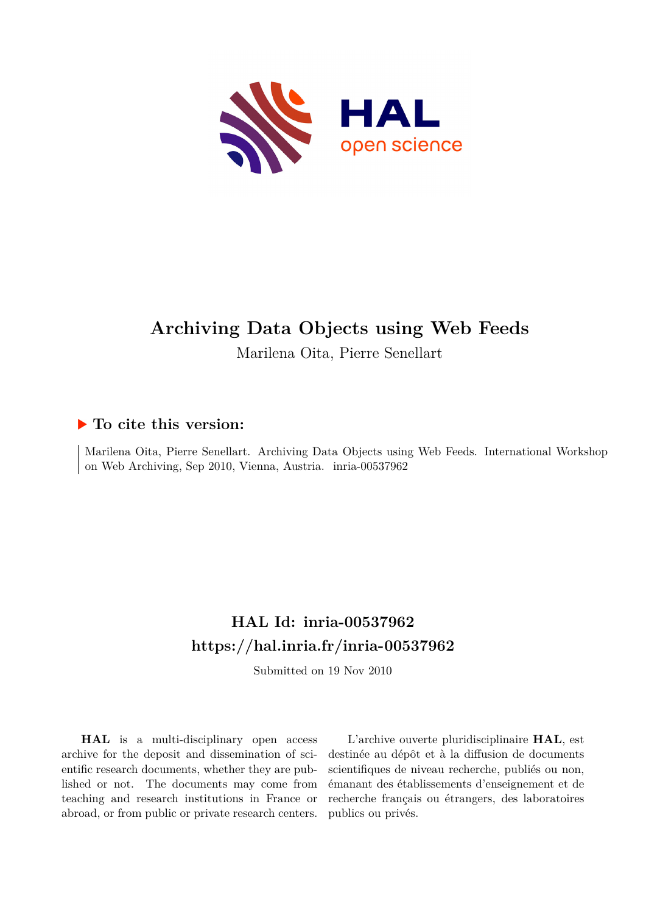

# **Archiving Data Objects using Web Feeds**

Marilena Oita, Pierre Senellart

# **To cite this version:**

Marilena Oita, Pierre Senellart. Archiving Data Objects using Web Feeds. International Workshop on Web Archiving, Sep 2010, Vienna, Austria. inria-00537962

# **HAL Id: inria-00537962 <https://hal.inria.fr/inria-00537962>**

Submitted on 19 Nov 2010

**HAL** is a multi-disciplinary open access archive for the deposit and dissemination of scientific research documents, whether they are published or not. The documents may come from teaching and research institutions in France or abroad, or from public or private research centers.

L'archive ouverte pluridisciplinaire **HAL**, est destinée au dépôt et à la diffusion de documents scientifiques de niveau recherche, publiés ou non, émanant des établissements d'enseignement et de recherche français ou étrangers, des laboratoires publics ou privés.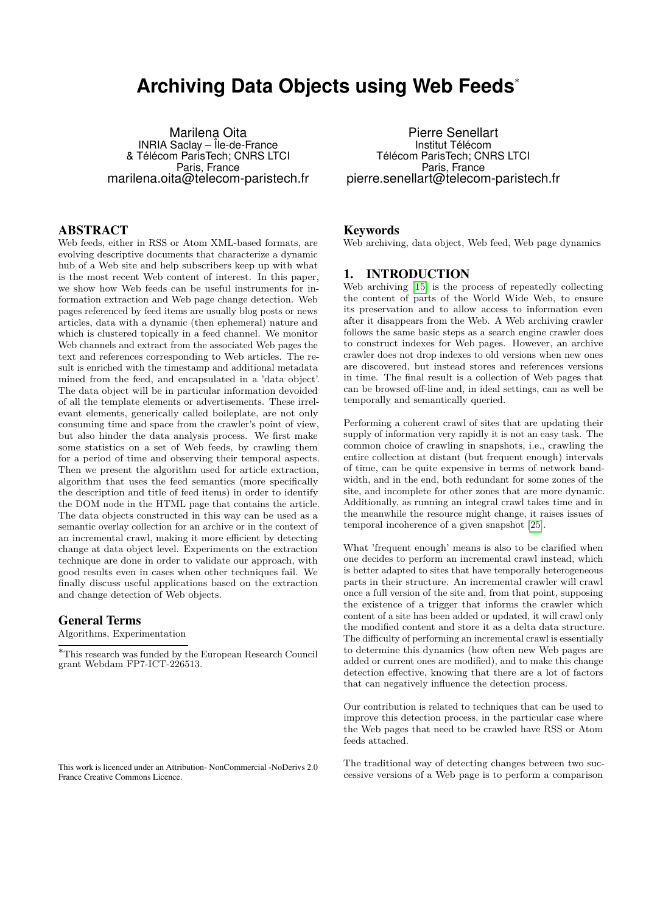# **Archiving Data Objects using Web Feeds***<sup>∗</sup>*

Marilena Oita INRIA Saclay – Île-de-France & Télécom ParisTech; CNRS LTCI Paris, France marilena.oita@telecom-paristech.fr

## ABSTRACT

Web feeds, either in RSS or Atom XML-based formats, are evolving descriptive documents that characterize a dynamic hub of a Web site and help subscribers keep up with what is the most recent Web content of interest. In this paper, we show how Web feeds can be useful instruments for information extraction and Web page change detection. Web pages referenced by feed items are usually blog posts or news articles, data with a dynamic (then ephemeral) nature and which is clustered topically in a feed channel. We monitor Web channels and extract from the associated Web pages the text and references corresponding to Web articles. The result is enriched with the timestamp and additional metadata mined from the feed, and encapsulated in a 'data object'. The data object will be in particular information devoided of all the template elements or advertisements. These irrelevant elements, generically called boileplate, are not only consuming time and space from the crawler's point of view, but also hinder the data analysis process. We first make some statistics on a set of Web feeds, by crawling them for a period of time and observing their temporal aspects. Then we present the algorithm used for article extraction, algorithm that uses the feed semantics (more specifically the description and title of feed items) in order to identify the DOM node in the HTML page that contains the article. The data objects constructed in this way can be used as a semantic overlay collection for an archive or in the context of an incremental crawl, making it more efficient by detecting change at data object level. Experiments on the extraction technique are done in order to validate our approach, with good results even in cases when other techniques fail. We finally discuss useful applications based on the extraction and change detection of Web objects.

#### General Terms

Algorithms, Experimentation

*<sup>∗</sup>*This research was funded by the European Research Council grant Webdam FP7-ICT-226513.

This work is licenced under an Attribution- NonCommercial -NoDerivs 2.0 France Creative Commons Licence.

Pierre Senellart Institut Télécom Télécom ParisTech; CNRS LTCI Paris, France pierre.senellart@telecom-paristech.fr

#### Keywords

Web archiving, data object, Web feed, Web page dynamics

### 1. INTRODUCTION

Web archiving [\[15\]](#page-10-0) is the process of repeatedly collecting the content of parts of the World Wide Web, to ensure its preservation and to allow access to information even after it disappears from the Web. A Web archiving crawler follows the same basic steps as a search engine crawler does to construct indexes for Web pages. However, an archive crawler does not drop indexes to old versions when new ones are discovered, but instead stores and references versions in time. The final result is a collection of Web pages that can be browsed off-line and, in ideal settings, can as well be temporally and semantically queried.

Performing a coherent crawl of sites that are updating their supply of information very rapidly it is not an easy task. The common choice of crawling in snapshots, i.e., crawling the entire collection at distant (but frequent enough) intervals of time, can be quite expensive in terms of network bandwidth, and in the end, both redundant for some zones of the site, and incomplete for other zones that are more dynamic. Additionally, as running an integral crawl takes time and in the meanwhile the resource might change, it raises issues of temporal incoherence of a given snapshot [\[25\]](#page-11-0).

What 'frequent enough' means is also to be clarified when one decides to perform an incremental crawl instead, which is better adapted to sites that have temporally heterogeneous parts in their structure. An incremental crawler will crawl once a full version of the site and, from that point, supposing the existence of a trigger that informs the crawler which content of a site has been added or updated, it will crawl only the modified content and store it as a delta data structure. The difficulty of performing an incremental crawl is essentially to determine this dynamics (how often new Web pages are added or current ones are modified), and to make this change detection effective, knowing that there are a lot of factors that can negatively influence the detection process.

Our contribution is related to techniques that can be used to improve this detection process, in the particular case where the Web pages that need to be crawled have RSS or Atom feeds attached.

The traditional way of detecting changes between two successive versions of a Web page is to perform a comparison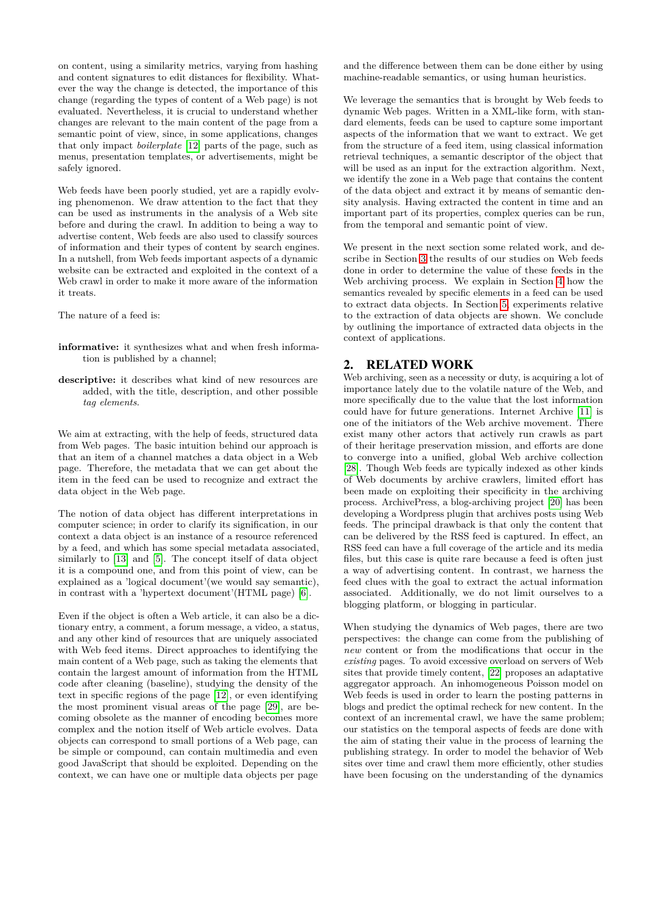on content, using a similarity metrics, varying from hashing and content signatures to edit distances for flexibility. Whatever the way the change is detected, the importance of this change (regarding the types of content of a Web page) is not evaluated. Nevertheless, it is crucial to understand whether changes are relevant to the main content of the page from a semantic point of view, since, in some applications, changes that only impact *boilerplate* [\[12\]](#page-10-1) parts of the page, such as menus, presentation templates, or advertisements, might be safely ignored.

Web feeds have been poorly studied, yet are a rapidly evolving phenomenon. We draw attention to the fact that they can be used as instruments in the analysis of a Web site before and during the crawl. In addition to being a way to advertise content, Web feeds are also used to classify sources of information and their types of content by search engines. In a nutshell, from Web feeds important aspects of a dynamic website can be extracted and exploited in the context of a Web crawl in order to make it more aware of the information it treats.

The nature of a feed is:

- **informative:** it synthesizes what and when fresh information is published by a channel;
- **descriptive:** it describes what kind of new resources are added, with the title, description, and other possible *tag elements*.

We aim at extracting, with the help of feeds, structured data from Web pages. The basic intuition behind our approach is that an item of a channel matches a data object in a Web page. Therefore, the metadata that we can get about the item in the feed can be used to recognize and extract the data object in the Web page.

The notion of data object has different interpretations in computer science; in order to clarify its signification, in our context a data object is an instance of a resource referenced by a feed, and which has some special metadata associated, similarly to [\[13\]](#page-10-2) and [\[5\]](#page-10-3). The concept itself of data object it is a compound one, and from this point of view, can be explained as a 'logical document'(we would say semantic), in contrast with a 'hypertext document'(HTML page) [\[6\]](#page-10-4).

Even if the object is often a Web article, it can also be a dictionary entry, a comment, a forum message, a video, a status, and any other kind of resources that are uniquely associated with Web feed items. Direct approaches to identifying the main content of a Web page, such as taking the elements that contain the largest amount of information from the HTML code after cleaning (baseline), studying the density of the text in specific regions of the page [\[12\]](#page-10-1), or even identifying the most prominent visual areas of the page [\[29\]](#page-11-1), are becoming obsolete as the manner of encoding becomes more complex and the notion itself of Web article evolves. Data objects can correspond to small portions of a Web page, can be simple or compound, can contain multimedia and even good JavaScript that should be exploited. Depending on the context, we can have one or multiple data objects per page

and the difference between them can be done either by using machine-readable semantics, or using human heuristics.

We leverage the semantics that is brought by Web feeds to dynamic Web pages. Written in a XML-like form, with standard elements, feeds can be used to capture some important aspects of the information that we want to extract. We get from the structure of a feed item, using classical information retrieval techniques, a semantic descriptor of the object that will be used as an input for the extraction algorithm. Next, we identify the zone in a Web page that contains the content of the data object and extract it by means of semantic density analysis. Having extracted the content in time and an important part of its properties, complex queries can be run, from the temporal and semantic point of view.

We present in the next section some related work, and describe in Section [3](#page-3-0) the results of our studies on Web feeds done in order to determine the value of these feeds in the Web archiving process. We explain in Section [4](#page-5-0) how the semantics revealed by specific elements in a feed can be used to extract data objects. In Section [5,](#page-8-0) experiments relative to the extraction of data objects are shown. We conclude by outlining the importance of extracted data objects in the context of applications.

## 2. RELATED WORK

Web archiving, seen as a necessity or duty, is acquiring a lot of importance lately due to the volatile nature of the Web, and more specifically due to the value that the lost information could have for future generations. Internet Archive [\[11\]](#page-10-5) is one of the initiators of the Web archive movement. There exist many other actors that actively run crawls as part of their heritage preservation mission, and efforts are done to converge into a unified, global Web archive collection [\[28\]](#page-11-2). Though Web feeds are typically indexed as other kinds of Web documents by archive crawlers, limited effort has been made on exploiting their specificity in the archiving process. ArchivePress, a blog-archiving project [\[20\]](#page-11-3) has been developing a Wordpress plugin that archives posts using Web feeds. The principal drawback is that only the content that can be delivered by the RSS feed is captured. In effect, an RSS feed can have a full coverage of the article and its media files, but this case is quite rare because a feed is often just a way of advertising content. In contrast, we harness the feed clues with the goal to extract the actual information associated. Additionally, we do not limit ourselves to a blogging platform, or blogging in particular.

When studying the dynamics of Web pages, there are two perspectives: the change can come from the publishing of *new* content or from the modifications that occur in the *existing* pages. To avoid excessive overload on servers of Web sites that provide timely content, [\[22\]](#page-11-4) proposes an adaptative aggregator approach. An inhomogeneous Poisson model on Web feeds is used in order to learn the posting patterns in blogs and predict the optimal recheck for new content. In the context of an incremental crawl, we have the same problem; our statistics on the temporal aspects of feeds are done with the aim of stating their value in the process of learning the publishing strategy. In order to model the behavior of Web sites over time and crawl them more efficiently, other studies have been focusing on the understanding of the dynamics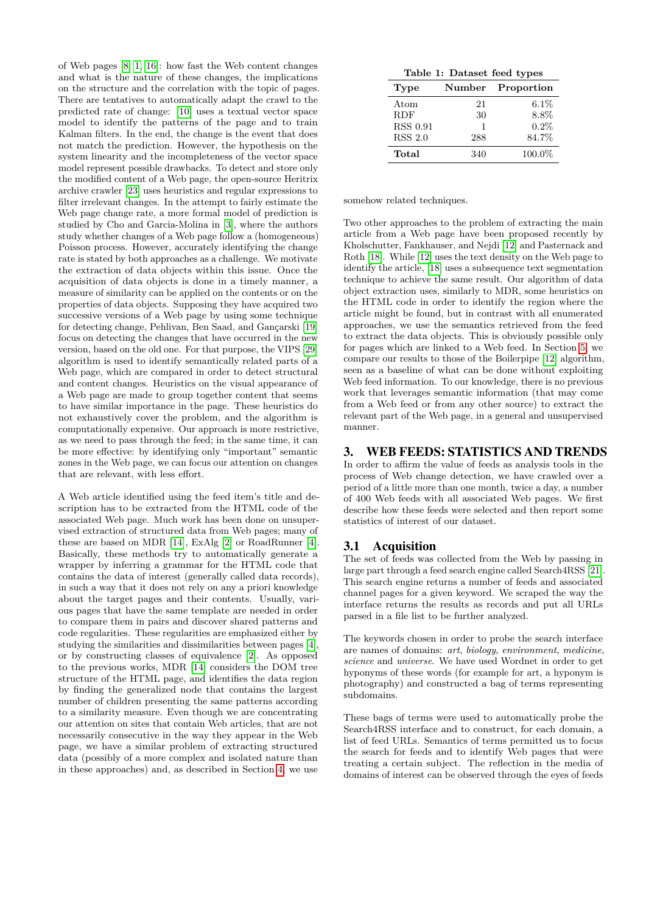of Web pages [\[8,](#page-10-6) [1,](#page-10-7) [16\]](#page-11-5): how fast the Web content changes and what is the nature of these changes, the implications on the structure and the correlation with the topic of pages. There are tentatives to automatically adapt the crawl to the predicted rate of change: [\[10\]](#page-10-8) uses a textual vector space model to identify the patterns of the page and to train Kalman filters. In the end, the change is the event that does not match the prediction. However, the hypothesis on the system linearity and the incompleteness of the vector space model represent possible drawbacks. To detect and store only the modified content of a Web page, the open-source Heritrix archive crawler [\[23\]](#page-11-6) uses heuristics and regular expressions to filter irrelevant changes. In the attempt to fairly estimate the Web page change rate, a more formal model of prediction is studied by Cho and Garcia-Molina in [\[3\]](#page-10-9), where the authors study whether changes of a Web page follow a (homogeneous) Poisson process. However, accurately identifying the change rate is stated by both approaches as a challenge. We motivate the extraction of data objects within this issue. Once the acquisition of data objects is done in a timely manner, a measure of similarity can be applied on the contents or on the properties of data objects. Supposing they have acquired two successive versions of a Web page by using some technique for detecting change, Pehlivan, Ben Saad, and Gançarski [\[19\]](#page-11-7) focus on detecting the changes that have occurred in the new version, based on the old one. For that purpose, the VIPS [\[29\]](#page-11-1) algorithm is used to identify semantically related parts of a Web page, which are compared in order to detect structural and content changes. Heuristics on the visual appearance of a Web page are made to group together content that seems to have similar importance in the page. These heuristics do not exhaustively cover the problem, and the algorithm is computationally expensive. Our approach is more restrictive, as we need to pass through the feed; in the same time, it can be more effective: by identifying only "important" semantic zones in the Web page, we can focus our attention on changes that are relevant, with less effort.

A Web article identified using the feed item's title and description has to be extracted from the HTML code of the associated Web page. Much work has been done on unsupervised extraction of structured data from Web pages; many of these are based on MDR [\[14\]](#page-10-10), ExAlg [\[2\]](#page-10-11) or RoadRunner [\[4\]](#page-10-12). Basically, these methods try to automatically generate a wrapper by inferring a grammar for the HTML code that contains the data of interest (generally called data records), in such a way that it does not rely on any a priori knowledge about the target pages and their contents. Usually, various pages that have the same template are needed in order to compare them in pairs and discover shared patterns and code regularities. These regularities are emphasized either by studying the similarities and dissimilarities between pages [\[4\]](#page-10-12), or by constructing classes of equivalence [\[2\]](#page-10-11). As opposed to the previous works, MDR [\[14\]](#page-10-10) considers the DOM tree structure of the HTML page, and identifies the data region by finding the generalized node that contains the largest number of children presenting the same patterns according to a similarity measure. Even though we are concentrating our attention on sites that contain Web articles, that are not necessarily consecutive in the way they appear in the Web page, we have a similar problem of extracting structured data (possibly of a more complex and isolated nature than in these approaches) and, as described in Section [4,](#page-5-0) we use

<span id="page-3-1"></span>

| Table 1: Dataset feed types |     |                   |  |  |
|-----------------------------|-----|-------------------|--|--|
| <b>Type</b>                 |     | Number Proportion |  |  |
| Atom                        | 21  | $6.1\%$           |  |  |
| <b>RDF</b>                  | 30  | 8.8%              |  |  |
| <b>RSS 0.91</b>             | 1   | 0.2%              |  |  |
| <b>RSS 2.0</b>              | 288 | 84.7%             |  |  |
| Total                       | 340 | 100.0%            |  |  |

somehow related techniques.

Two other approaches to the problem of extracting the main article from a Web page have been proposed recently by Kholschutter, Fankhauser, and Nejdi [\[12\]](#page-10-1) and Pasternack and Roth [\[18\]](#page-11-8). While [\[12\]](#page-10-1) uses the text density on the Web page to identify the article, [\[18\]](#page-11-8) uses a subsequence text segmentation technique to achieve the same result. Our algorithm of data object extraction uses, similarly to MDR, some heuristics on the HTML code in order to identify the region where the article might be found, but in contrast with all enumerated approaches, we use the semantics retrieved from the feed to extract the data objects. This is obviously possible only for pages which are linked to a Web feed. In Section [5,](#page-8-0) we compare our results to those of the Boilerpipe [\[12\]](#page-10-1) algorithm, seen as a baseline of what can be done without exploiting Web feed information. To our knowledge, there is no previous work that leverages semantic information (that may come from a Web feed or from any other source) to extract the relevant part of the Web page, in a general and unsupervised manner.

### <span id="page-3-0"></span>3. WEB FEEDS: STATISTICS AND TRENDS

In order to affirm the value of feeds as analysis tools in the process of Web change detection, we have crawled over a period of a little more than one month, twice a day, a number of 400 Web feeds with all associated Web pages. We first describe how these feeds were selected and then report some statistics of interest of our dataset.

#### 3.1 Acquisition

The set of feeds was collected from the Web by passing in large part through a feed search engine called Search4RSS [\[21\]](#page-11-9). This search engine returns a number of feeds and associated channel pages for a given keyword. We scraped the way the interface returns the results as records and put all URLs parsed in a file list to be further analyzed.

The keywords chosen in order to probe the search interface are names of domains: *art*, *biology*, *environment*, *medicine*, *science* and *universe*. We have used Wordnet in order to get hyponyms of these words (for example for art, a hyponym is photography) and constructed a bag of terms representing subdomains.

These bags of terms were used to automatically probe the Search4RSS interface and to construct, for each domain, a list of feed URLs. Semantics of terms permitted us to focus the search for feeds and to identify Web pages that were treating a certain subject. The reflection in the media of domains of interest can be observed through the eyes of feeds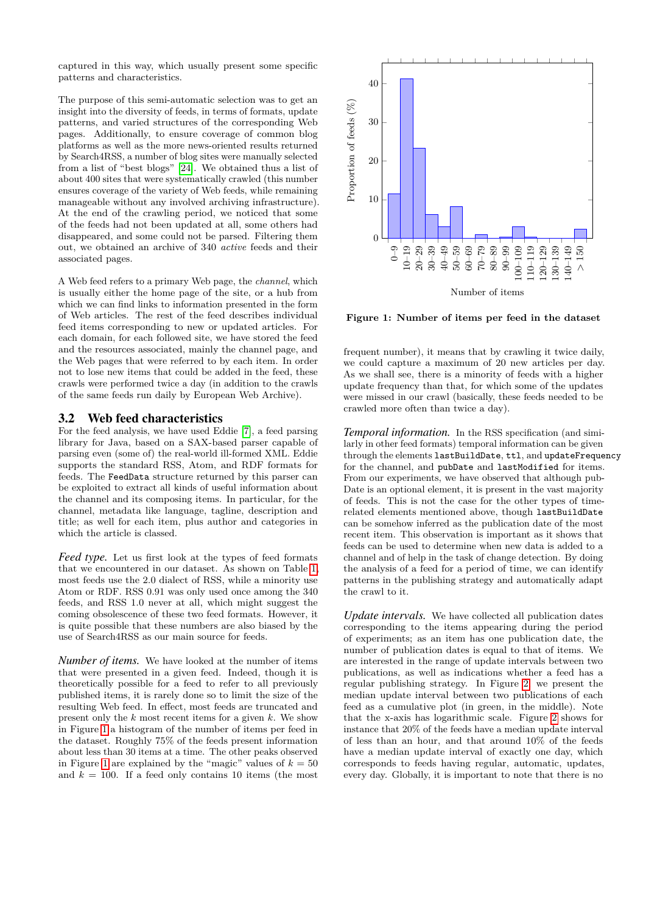captured in this way, which usually present some specific patterns and characteristics.

The purpose of this semi-automatic selection was to get an insight into the diversity of feeds, in terms of formats, update patterns, and varied structures of the corresponding Web pages. Additionally, to ensure coverage of common blog platforms as well as the more news-oriented results returned by Search4RSS, a number of blog sites were manually selected from a list of "best blogs" [\[24\]](#page-11-10). We obtained thus a list of about 400 sites that were systematically crawled (this number ensures coverage of the variety of Web feeds, while remaining manageable without any involved archiving infrastructure). At the end of the crawling period, we noticed that some of the feeds had not been updated at all, some others had disappeared, and some could not be parsed. Filtering them out, we obtained an archive of 340 *active* feeds and their associated pages.

A Web feed refers to a primary Web page, the *channel*, which is usually either the home page of the site, or a hub from which we can find links to information presented in the form of Web articles. The rest of the feed describes individual feed items corresponding to new or updated articles. For each domain, for each followed site, we have stored the feed and the resources associated, mainly the channel page, and the Web pages that were referred to by each item. In order not to lose new items that could be added in the feed, these crawls were performed twice a day (in addition to the crawls of the same feeds run daily by European Web Archive).

#### 3.2 Web feed characteristics

For the feed analysis, we have used Eddie [\[7\]](#page-10-13), a feed parsing library for Java, based on a SAX-based parser capable of parsing even (some of) the real-world ill-formed XML. Eddie supports the standard RSS, Atom, and RDF formats for feeds. The FeedData structure returned by this parser can be exploited to extract all kinds of useful information about the channel and its composing items. In particular, for the channel, metadata like language, tagline, description and title; as well for each item, plus author and categories in which the article is classed.

*Feed type.* Let us first look at the types of feed formats that we encountered in our dataset. As shown on Table [1,](#page-3-1) most feeds use the 2.0 dialect of RSS, while a minority use Atom or RDF. RSS 0.91 was only used once among the 340 feeds, and RSS 1.0 never at all, which might suggest the coming obsolescence of these two feed formats. However, it is quite possible that these numbers are also biased by the use of Search4RSS as our main source for feeds.

*Number of items.* We have looked at the number of items that were presented in a given feed. Indeed, though it is theoretically possible for a feed to refer to all previously published items, it is rarely done so to limit the size of the resulting Web feed. In effect, most feeds are truncated and present only the *k* most recent items for a given *k*. We show in Figure [1](#page-4-0) a histogram of the number of items per feed in the dataset. Roughly 75% of the feeds present information about less than 30 items at a time. The other peaks observed in Figure [1](#page-4-0) are explained by the "magic" values of  $k = 50$ and  $k = 100$ . If a feed only contains 10 items (the most



<span id="page-4-0"></span>**Figure 1: Number of items per feed in the dataset**

frequent number), it means that by crawling it twice daily, we could capture a maximum of 20 new articles per day. As we shall see, there is a minority of feeds with a higher update frequency than that, for which some of the updates were missed in our crawl (basically, these feeds needed to be crawled more often than twice a day).

*Temporal information.* In the RSS specification (and similarly in other feed formats) temporal information can be given through the elements lastBuildDate, ttl, and updateFrequency for the channel, and pubDate and lastModified for items. From our experiments, we have observed that although pub-Date is an optional element, it is present in the vast majority of feeds. This is not the case for the other types of timerelated elements mentioned above, though lastBuildDate can be somehow inferred as the publication date of the most recent item. This observation is important as it shows that feeds can be used to determine when new data is added to a channel and of help in the task of change detection. By doing the analysis of a feed for a period of time, we can identify patterns in the publishing strategy and automatically adapt the crawl to it.

*Update intervals.* We have collected all publication dates corresponding to the items appearing during the period of experiments; as an item has one publication date, the number of publication dates is equal to that of items. We are interested in the range of update intervals between two publications, as well as indications whether a feed has a regular publishing strategy. In Figure [2,](#page-5-1) we present the median update interval between two publications of each feed as a cumulative plot (in green, in the middle). Note that the x-axis has logarithmic scale. Figure [2](#page-5-1) shows for instance that 20% of the feeds have a median update interval of less than an hour, and that around 10% of the feeds have a median update interval of exactly one day, which corresponds to feeds having regular, automatic, updates, every day. Globally, it is important to note that there is no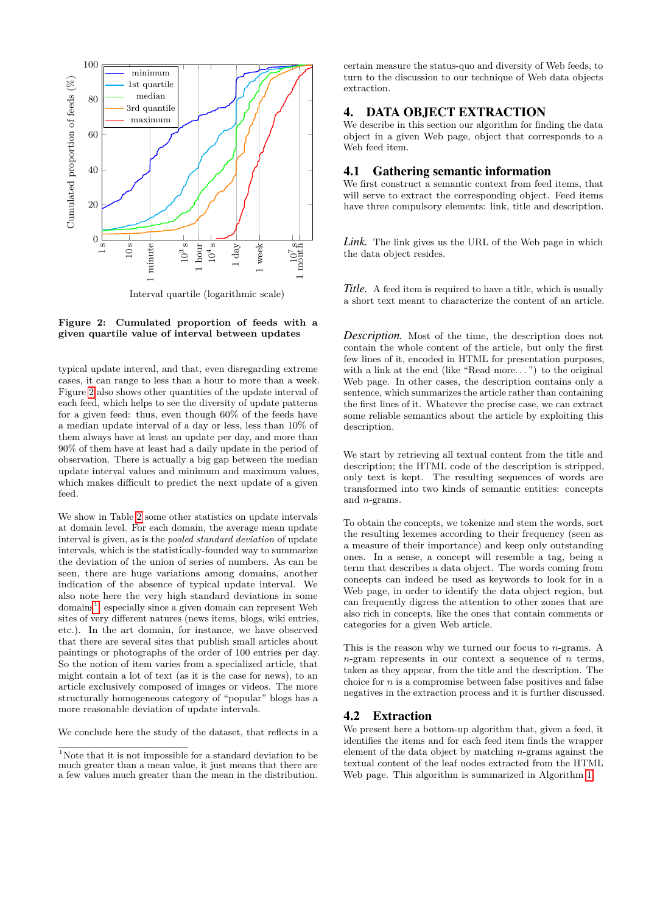

<span id="page-5-1"></span>

typical update interval, and that, even disregarding extreme cases, it can range to less than a hour to more than a week. Figure [2](#page-5-1) also shows other quantities of the update interval of each feed, which helps to see the diversity of update patterns for a given feed: thus, even though 60% of the feeds have a median update interval of a day or less, less than 10% of them always have at least an update per day, and more than 90% of them have at least had a daily update in the period of observation. There is actually a big gap between the median update interval values and minimum and maximum values, which makes difficult to predict the next update of a given feed.

We show in Table [2](#page-6-0) some other statistics on update intervals at domain level. For each domain, the average mean update interval is given, as is the *pooled standard deviation* of update intervals, which is the statistically-founded way to summarize the deviation of the union of series of numbers. As can be seen, there are huge variations among domains, another indication of the absence of typical update interval. We also note here the very high standard deviations in some domains<sup>[1](#page-5-2)</sup>, especially since a given domain can represent Web sites of very different natures (news items, blogs, wiki entries, etc.). In the art domain, for instance, we have observed that there are several sites that publish small articles about paintings or photographs of the order of 100 entries per day. So the notion of item varies from a specialized article, that might contain a lot of text (as it is the case for news), to an article exclusively composed of images or videos. The more structurally homogeneous category of "popular" blogs has a more reasonable deviation of update intervals.

We conclude here the study of the dataset, that reflects in a

certain measure the status-quo and diversity of Web feeds, to turn to the discussion to our technique of Web data objects extraction.

#### <span id="page-5-0"></span>4. DATA OBJECT EXTRACTION

We describe in this section our algorithm for finding the data object in a given Web page, object that corresponds to a Web feed item.

#### 4.1 Gathering semantic information

We first construct a semantic context from feed items, that will serve to extract the corresponding object. Feed items have three compulsory elements: link, title and description.

*Link.* The link gives us the URL of the Web page in which the data object resides.

*Title.* A feed item is required to have a title, which is usually a short text meant to characterize the content of an article.

*Description.* Most of the time, the description does not contain the whole content of the article, but only the first few lines of it, encoded in HTML for presentation purposes, with a link at the end (like "Read more...") to the original Web page. In other cases, the description contains only a sentence, which summarizes the article rather than containing the first lines of it. Whatever the precise case, we can extract some reliable semantics about the article by exploiting this description.

We start by retrieving all textual content from the title and description; the HTML code of the description is stripped, only text is kept. The resulting sequences of words are transformed into two kinds of semantic entities: concepts and *n*-grams.

To obtain the concepts, we tokenize and stem the words, sort the resulting lexemes according to their frequency (seen as a measure of their importance) and keep only outstanding ones. In a sense, a concept will resemble a tag, being a term that describes a data object. The words coming from concepts can indeed be used as keywords to look for in a Web page, in order to identify the data object region, but can frequently digress the attention to other zones that are also rich in concepts, like the ones that contain comments or categories for a given Web article.

This is the reason why we turned our focus to *n*-grams. A *n*-gram represents in our context a sequence of *n* terms, taken as they appear, from the title and the description. The choice for *n* is a compromise between false positives and false negatives in the extraction process and it is further discussed.

#### 4.2 Extraction

<span id="page-5-3"></span>We present here a bottom-up algorithm that, given a feed, it identifies the items and for each feed item finds the wrapper element of the data object by matching *n*-grams against the textual content of the leaf nodes extracted from the HTML Web page. This algorithm is summarized in Algorithm [1.](#page-5-3)

<span id="page-5-2"></span><sup>&</sup>lt;sup>1</sup>Note that it is not impossible for a standard deviation to be much greater than a mean value, it just means that there are a few values much greater than the mean in the distribution.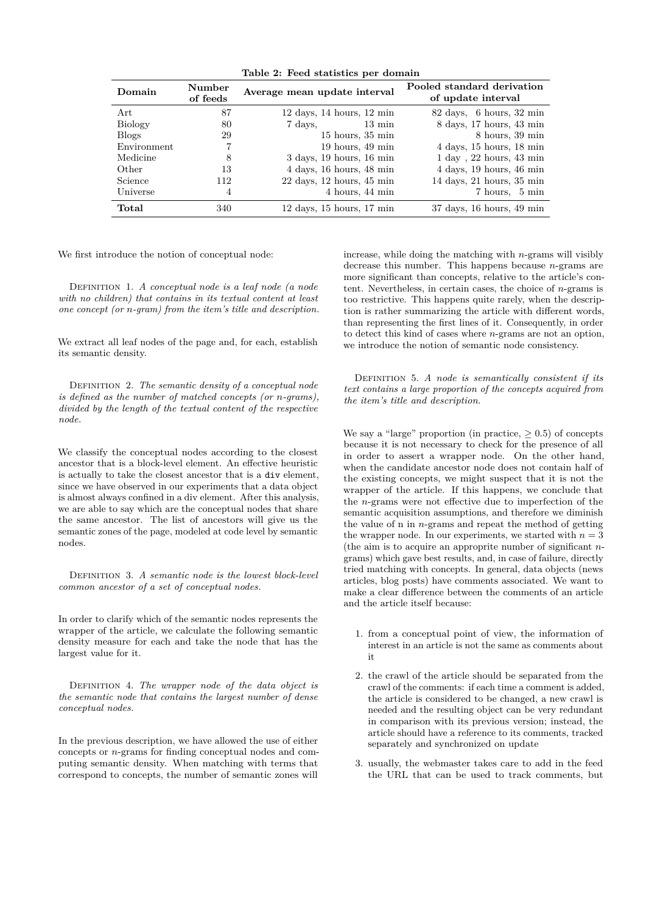| Lable 2. Feed statistics per domain |                    |                                                           |                                                           |  |
|-------------------------------------|--------------------|-----------------------------------------------------------|-----------------------------------------------------------|--|
| Domain                              | Number<br>of feeds | Average mean update interval                              | Pooled standard derivation<br>of update interval          |  |
| Art                                 | 87                 | $12 \text{ days}, 14 \text{ hours}, 12 \text{ min}$       | $82 \text{ days}, 6 \text{ hours}, 32 \text{ min}$        |  |
| <b>Biology</b>                      | 80                 | $7 \text{ days},$ 13 min                                  | 8 days, 17 hours, 43 min                                  |  |
| <b>Blogs</b>                        | 29                 | $15$ hours, $35 \text{ min}$                              | $8$ hours, $39 \text{ min}$                               |  |
| Environment                         | 7                  | $19$ hours, $49$ min                                      | $4 \text{ days}, 15 \text{ hours}, 18 \text{ min}$        |  |
| Medicine                            | 8                  | $3$ days, 19 hours, 16 min                                | $1 \text{ day}$ , $22 \text{ hours}$ , $43 \text{ min}$   |  |
| Other                               | 13                 | $4$ days, $16$ hours, $48$ min                            | $4 \text{ days}, 19 \text{ hours}, 46 \text{ min}$        |  |
| Science                             | 112                | $22 \text{ days}$ , $12 \text{ hours}$ , $45 \text{ min}$ | $14$ days, $21$ hours, $35$ min                           |  |
| Universe                            | 4                  | 4 hours, 44 min                                           | 7 hours, 5 min                                            |  |
| Total                               | 340                | $12 \text{ days}$ , $15 \text{ hours}$ , $17 \text{ min}$ | $37 \text{ days}$ , $16 \text{ hours}$ , $49 \text{ min}$ |  |

<span id="page-6-0"></span>**Table 2: Feed statistics per domain**

We first introduce the notion of conceptual node:

Definition 1. *A conceptual node is a leaf node (a node with no children) that contains in its textual content at least one concept (or n-gram) from the item's title and description.*

We extract all leaf nodes of the page and, for each, establish its semantic density.

DEFINITION 2. The semantic density of a conceptual node *is defined as the number of matched concepts (or n-grams), divided by the length of the textual content of the respective node.*

We classify the conceptual nodes according to the closest ancestor that is a block-level element. An effective heuristic is actually to take the closest ancestor that is a div element, since we have observed in our experiments that a data object is almost always confined in a div element. After this analysis, we are able to say which are the conceptual nodes that share the same ancestor. The list of ancestors will give us the semantic zones of the page, modeled at code level by semantic nodes.

Definition 3. *A semantic node is the lowest block-level common ancestor of a set of conceptual nodes.*

In order to clarify which of the semantic nodes represents the wrapper of the article, we calculate the following semantic density measure for each and take the node that has the largest value for it.

Definition 4. *The wrapper node of the data object is the semantic node that contains the largest number of dense conceptual nodes.*

In the previous description, we have allowed the use of either concepts or *n*-grams for finding conceptual nodes and computing semantic density. When matching with terms that correspond to concepts, the number of semantic zones will increase, while doing the matching with *n*-grams will visibly decrease this number. This happens because *n*-grams are more significant than concepts, relative to the article's content. Nevertheless, in certain cases, the choice of *n*-grams is too restrictive. This happens quite rarely, when the description is rather summarizing the article with different words, than representing the first lines of it. Consequently, in order to detect this kind of cases where *n*-grams are not an option, we introduce the notion of semantic node consistency.

Definition 5. *A node is semantically consistent if its text contains a large proportion of the concepts acquired from the item's title and description.*

We say a "large" proportion (in practice,  $\geq 0.5$ ) of concepts because it is not necessary to check for the presence of all in order to assert a wrapper node. On the other hand, when the candidate ancestor node does not contain half of the existing concepts, we might suspect that it is not the wrapper of the article. If this happens, we conclude that the *n*-grams were not effective due to imperfection of the semantic acquisition assumptions, and therefore we diminish the value of n in *n*-grams and repeat the method of getting the wrapper node. In our experiments, we started with  $n = 3$ (the aim is to acquire an approprite number of significant *n*grams) which gave best results, and, in case of failure, directly tried matching with concepts. In general, data objects (news articles, blog posts) have comments associated. We want to make a clear difference between the comments of an article and the article itself because:

- 1. from a conceptual point of view, the information of interest in an article is not the same as comments about it
- 2. the crawl of the article should be separated from the crawl of the comments: if each time a comment is added, the article is considered to be changed, a new crawl is needed and the resulting object can be very redundant in comparison with its previous version; instead, the article should have a reference to its comments, tracked separately and synchronized on update
- 3. usually, the webmaster takes care to add in the feed the URL that can be used to track comments, but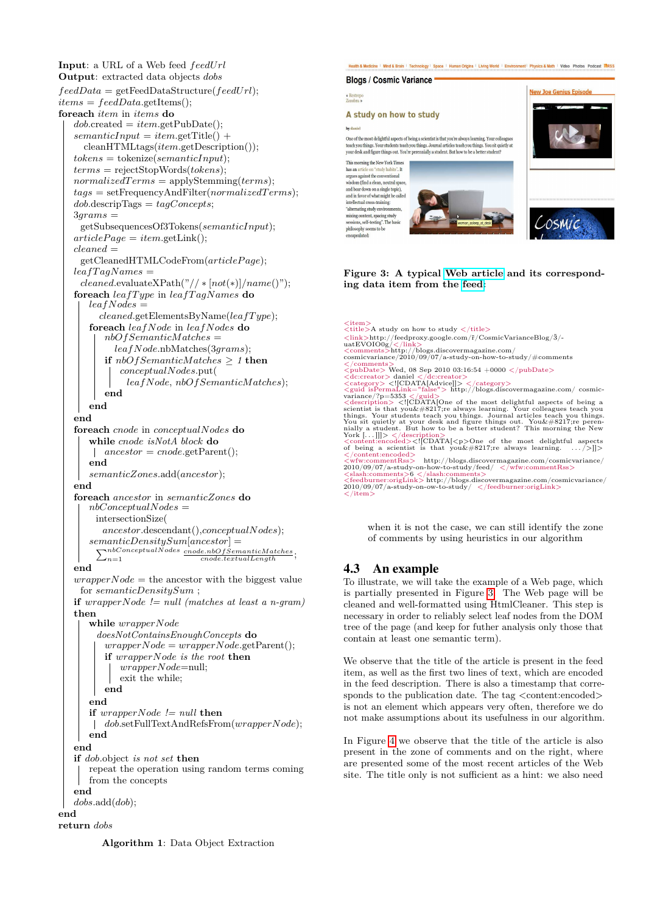```
Input: a URL of a Web feed feedUrl
Output: extracted data objects dobs
feedData = getFeedDataStructure(feedUrl);
items = feedData.getItems();
foreach item in items do
   dob.create = item.getPublic();semanticInput = item.getTitle() +cleanHTMLtags(item.getDescription());
   tokens = tokenize(semanticInput);
   terms = rejectStopWords(tokens);
   normalizedT erms = applyStemming(terms);
   tags = setFrequencyAndFilter(normalizedT erms);
   dob.descripTags = tagConcepts;
   3grams =
    getSubsequencesOf3Tokens(semanticInput);
   article Page = item.getLink();cleaned =
    getCleanedHTMLCodeFrom(articleP age);
   leafTagNames =
    cleaned.evaluateXPath("// ∗ [not(∗)]/name()");
   foreach leafT ype in leafT agNames do
      leafNodes =
        cleaned.getElementsByName(leafT ype);
      foreach leafNode in leafNodes do
         nbOfSemanticMatches =
           leafNode.nbMatches(3grams);
         if nbOfSemanticMatches ≥ 1 then
            conceptualNodes.put(
              leafNode, nbOfSemanticMatches);
         end
      end
   end
   foreach cnode in conceptualNodes do
      while cnode isNotA block do
       ancestor = cnode.getParent();
      end
      semanticZones.add(ancestor);
   end
   foreach ancestor in semanticZones do
      nbConceptualNodes =
       intersectionSize(
         ancestor.descendant(),conceptualNodes);
      semanticDensitySum
[ancestor] =
        \sum_{n=1}^{nbConceptualNodes} \frac{cnode.nbOfSemanticMathes}{cnode. textualLength}end

    for semanticDensitySum ;
   if wrapperNode != null (matches at least a n-gram)
   then
      while wrapperNode
        doesNotContainsEnoughConcepts do
         wrapperNode = wrapperNode.getParent();
         if wrapperNode is the root then
            wrapperNode=null;
            exit the while;
         end
      end
      if wrapperNode != null then
      dob.setFullTextAndRefsFrom(wrapperNode);
      end
   end
   if dob.object is not set then
      repeat the operation using random terms coming
      from the concepts
   end
   dobs.add(dob);
end
return dobs
```
Health & Medicine | Mind & Brain | Technology | Space | Human Origins | Living World | Environment | Physics & Math | Video Photos Podcast MRSS **Blogs / Cosmic Variance** 

# « Restrepo<br>Zozobra »

### A study on how to study

by danie

One of the most delightful aspects of being a scientist is that you're always learning. Your colleague teach you things. Your students teach you things. Journal articles teach you things. You sit quietly at your desk and figure things out. You're perennially a student. But how to be a better student? This morning the New York Times

has an artic "study habits". It has an article on study habits . It<br>argues against the conventional<br>wisdom (find a clean, neutral space,<br>and bear down on a single topic),<br>and in favor of what might be called intellectual cross-training: "alternating study environments mixing content, spacing study<br>sessions, self-testing". The base<br>philosophy seems to be<br>encapsulated:







<span id="page-7-0"></span>**Figure 3: A typical [Web article](http://blogs.discovermagazine.com/cosmicvariance/2010/09/07/a-study-on-how-to-study/?utm_source=feedburner&utm_medium=feed&utm_campaign=Feed%3A+CosmicVarianceBlog+%28Cosmic+Variance%29&utm_content=FeedBurner) and its corresponding data item from the [feed:](http://feeds.feedburner.com/CosmicVarianceBlog)**

*<*item*> <*title*>*A study on how to study *<*/title*>*  $\langle \ln k \rangle$ http://feedproxy.google.com/f/CosmicVarianceBlog/3/-<br>uatEVOIO0g/ $\langle / \ln k \rangle$ <br> $\langle \text{commuts} \rangle$ http://blogs.discovermagazine.com/<br>cosmicvariance/2010/09/07/a-study-on-how-to-study/#comments  $<\!\!<\!\!\!p\!\!-\!\!p\!\!-\!\!p\!\!-\!\!p\!\!-\!\!p\!\!-\!\!p\!\!-\!\!p\!\!-\!\!p\!\!-\!\!p\!\!-\!\!p\!\!-\!\!p\!\!-\!\!p\!\!-\!\!p\!\!-\!\!p\!\!-\!\!p\!\!-\!\!p\!\!-\!\!p\!\!-\!\!p\!\!-\!\!p\!\!-\!\!p\!\!-\!\!p\!\!-\!\!p\!\!-\!\!p\!\!-\!\!p\!\!-\!\!p\!\!-\!\!p\!\!-\!\!p\!\!-\!\!p\!\!-\!\!p\!\!-\!\!p\!\!-\!\!p\$ things. Your summaring desk and figure unings out.<br>
You sit quietly at your desk and figure unings out.<br>
This morning the ivery nailly a student. But how to be a better student? This morning the ivery<br>
York [...]]]>  $\angle / \$ *<*wfw:commentRss*>* http://blogs.discovermagazine.com/cosmicvariance/ 2010/09/07/a-study-on-how-to-study/feed/ *<*/wfw:commentRss*> <*slash:comments*>*6 *<*/slash:comments*> <*feedburner:origLink*>* http://blogs.discovermagazine.com/cosmicvariance/ 2010/09/07/a-study-on-ow-to-study/ *<*/feedburner:origLink*> <*/item*>*

when it is not the case, we can still identify the zone of comments by using heuristics in our algorithm

# 4.3 An example

To illustrate, we will take the example of a Web page, which is partially presented in Figure [3.](#page-7-0) The Web page will be cleaned and well-formatted using HtmlCleaner. This step is necessary in order to reliably select leaf nodes from the DOM tree of the page (and keep for futher analysis only those that contain at least one semantic term).

We observe that the title of the article is present in the feed item, as well as the first two lines of text, which are encoded in the feed description. There is also a timestamp that corresponds to the publication date. The tag *<*content:encoded*>* is not an element which appears very often, therefore we do not make assumptions about its usefulness in our algorithm.

In Figure [4](#page-8-1) we observe that the title of the article is also present in the zone of comments and on the right, where are presented some of the most recent articles of the Web site. The title only is not sufficient as a hint: we also need

**Algorithm 1**: Data Object Extraction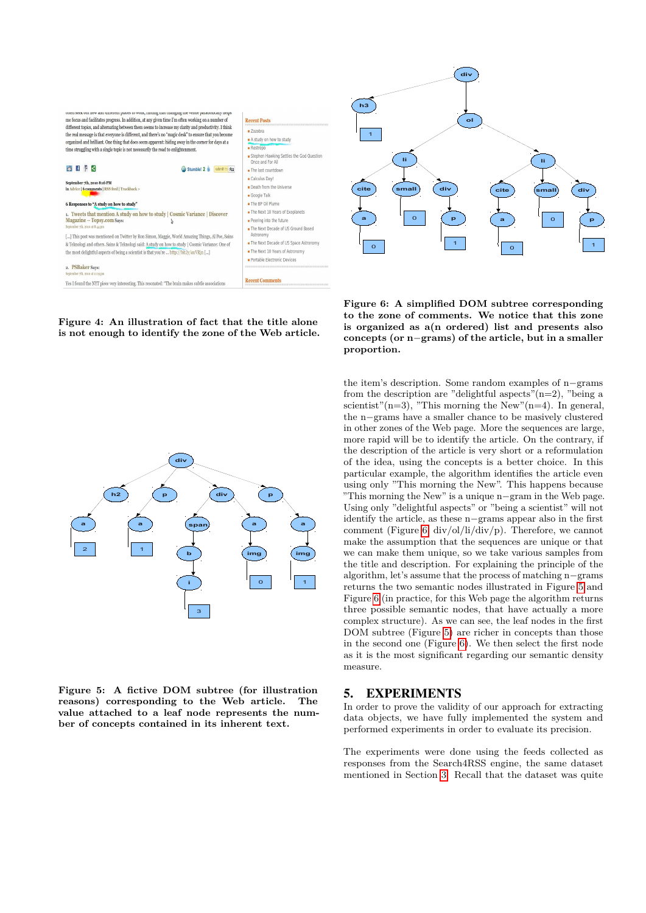

<span id="page-8-1"></span>**Figure 4: An illustration of fact that the title alone is not enough to identify the zone of the Web article.**



<span id="page-8-3"></span>**Figure 5: A fictive DOM subtree (for illustration reasons) corresponding to the Web article. The value attached to a leaf node represents the number of concepts contained in its inherent text.**



<span id="page-8-2"></span>**Figure 6: A simplified DOM subtree corresponding to the zone of comments. We notice that this zone is organized as a(n ordered) list and presents also concepts (or n***−***grams) of the article, but in a smaller proportion.**

the item's description. Some random examples of n*−*grams from the description are "delightful aspects" $(n=2)$ , "being a scientist"(n=3), "This morning the New"(n=4). In general, the n*−*grams have a smaller chance to be masively clustered in other zones of the Web page. More the sequences are large, more rapid will be to identify the article. On the contrary, if the description of the article is very short or a reformulation of the idea, using the concepts is a better choice. In this particular example, the algorithm identifies the article even using only "This morning the New". This happens because "This morning the New" is a unique n*−*gram in the Web page. Using only "delightful aspects" or "being a scientist" will not identify the article, as these n*−*grams appear also in the first comment (Figure [6,](#page-8-2) div/ol/li/div/p). Therefore, we cannot make the assumption that the sequences are unique or that we can make them unique, so we take various samples from the title and description. For explaining the principle of the algorithm, let's assume that the process of matching n*−*grams returns the two semantic nodes illustrated in Figure [5](#page-8-3) and Figure [6](#page-8-2) (in practice, for this Web page the algorithm returns three possible semantic nodes, that have actually a more complex structure). As we can see, the leaf nodes in the first DOM subtree (Figure [5\)](#page-8-3) are richer in concepts than those in the second one (Figure [6\)](#page-8-2). We then select the first node as it is the most significant regarding our semantic density measure.

#### <span id="page-8-0"></span>5. EXPERIMENTS

In order to prove the validity of our approach for extracting data objects, we have fully implemented the system and performed experiments in order to evaluate its precision.

The experiments were done using the feeds collected as responses from the Search4RSS engine, the same dataset mentioned in Section [3.](#page-3-0) Recall that the dataset was quite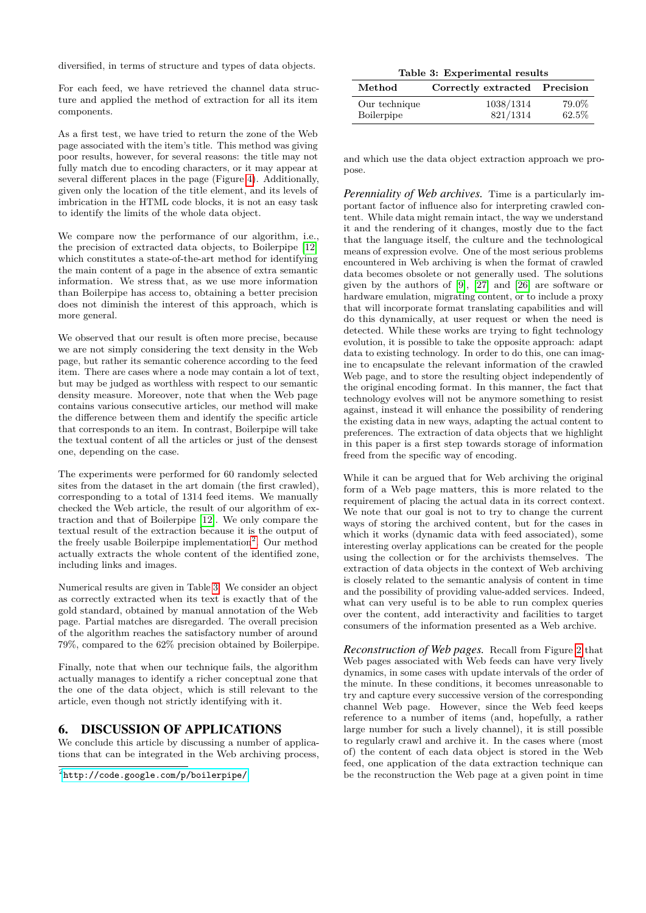diversified, in terms of structure and types of data objects.

For each feed, we have retrieved the channel data structure and applied the method of extraction for all its item components.

As a first test, we have tried to return the zone of the Web page associated with the item's title. This method was giving poor results, however, for several reasons: the title may not fully match due to encoding characters, or it may appear at several different places in the page (Figure [4\)](#page-8-1). Additionally, given only the location of the title element, and its levels of imbrication in the HTML code blocks, it is not an easy task to identify the limits of the whole data object.

We compare now the performance of our algorithm, i.e., the precision of extracted data objects, to Boilerpipe [\[12\]](#page-10-1) which constitutes a state-of-the-art method for identifying the main content of a page in the absence of extra semantic information. We stress that, as we use more information than Boilerpipe has access to, obtaining a better precision does not diminish the interest of this approach, which is more general.

We observed that our result is often more precise, because we are not simply considering the text density in the Web page, but rather its semantic coherence according to the feed item. There are cases where a node may contain a lot of text, but may be judged as worthless with respect to our semantic density measure. Moreover, note that when the Web page contains various consecutive articles, our method will make the difference between them and identify the specific article that corresponds to an item. In contrast, Boilerpipe will take the textual content of all the articles or just of the densest one, depending on the case.

The experiments were performed for 60 randomly selected sites from the dataset in the art domain (the first crawled), corresponding to a total of 1314 feed items. We manually checked the Web article, the result of our algorithm of extraction and that of Boilerpipe [\[12\]](#page-10-1). We only compare the textual result of the extraction because it is the output of the freely usable Boilerpipe implementation<sup>[2](#page-9-0)</sup>. Our method actually extracts the whole content of the identified zone, including links and images.

Numerical results are given in Table [3.](#page-9-1) We consider an object as correctly extracted when its text is exactly that of the gold standard, obtained by manual annotation of the Web page. Partial matches are disregarded. The overall precision of the algorithm reaches the satisfactory number of around 79%, compared to the 62% precision obtained by Boilerpipe.

Finally, note that when our technique fails, the algorithm actually manages to identify a richer conceptual zone that the one of the data object, which is still relevant to the article, even though not strictly identifying with it.

#### 6. DISCUSSION OF APPLICATIONS

We conclude this article by discussing a number of applications that can be integrated in the Web archiving process,

<span id="page-9-1"></span>

|  | Table 3: Experimental results |  |
|--|-------------------------------|--|
|--|-------------------------------|--|

| Method        | Correctly extracted Precision |       |
|---------------|-------------------------------|-------|
| Our technique | 1038/1314                     | 79.0% |
| Boilerpipe    | 821/1314                      | 62.5% |

and which use the data object extraction approach we propose.

*Perenniality of Web archives.* Time is a particularly important factor of influence also for interpreting crawled content. While data might remain intact, the way we understand it and the rendering of it changes, mostly due to the fact that the language itself, the culture and the technological means of expression evolve. One of the most serious problems encountered in Web archiving is when the format of crawled data becomes obsolete or not generally used. The solutions given by the authors of [\[9\]](#page-10-14), [\[27\]](#page-11-11) and [\[26\]](#page-11-12) are software or hardware emulation, migrating content, or to include a proxy that will incorporate format translating capabilities and will do this dynamically, at user request or when the need is detected. While these works are trying to fight technology evolution, it is possible to take the opposite approach: adapt data to existing technology. In order to do this, one can imagine to encapsulate the relevant information of the crawled Web page, and to store the resulting object independently of the original encoding format. In this manner, the fact that technology evolves will not be anymore something to resist against, instead it will enhance the possibility of rendering the existing data in new ways, adapting the actual content to preferences. The extraction of data objects that we highlight in this paper is a first step towards storage of information freed from the specific way of encoding.

While it can be argued that for Web archiving the original form of a Web page matters, this is more related to the requirement of placing the actual data in its correct context. We note that our goal is not to try to change the current ways of storing the archived content, but for the cases in which it works (dynamic data with feed associated), some interesting overlay applications can be created for the people using the collection or for the archivists themselves. The extraction of data objects in the context of Web archiving is closely related to the semantic analysis of content in time and the possibility of providing value-added services. Indeed, what can very useful is to be able to run complex queries over the content, add interactivity and facilities to target consumers of the information presented as a Web archive.

*Reconstruction of Web pages.* Recall from Figure [2](#page-5-1) that Web pages associated with Web feeds can have very lively dynamics, in some cases with update intervals of the order of the minute. In these conditions, it becomes unreasonable to try and capture every successive version of the corresponding channel Web page. However, since the Web feed keeps reference to a number of items (and, hopefully, a rather large number for such a lively channel), it is still possible to regularly crawl and archive it. In the cases where (most of) the content of each data object is stored in the Web feed, one application of the data extraction technique can be the reconstruction the Web page at a given point in time

<span id="page-9-0"></span> $^{2}$ <http://code.google.com/p/boilerpipe/>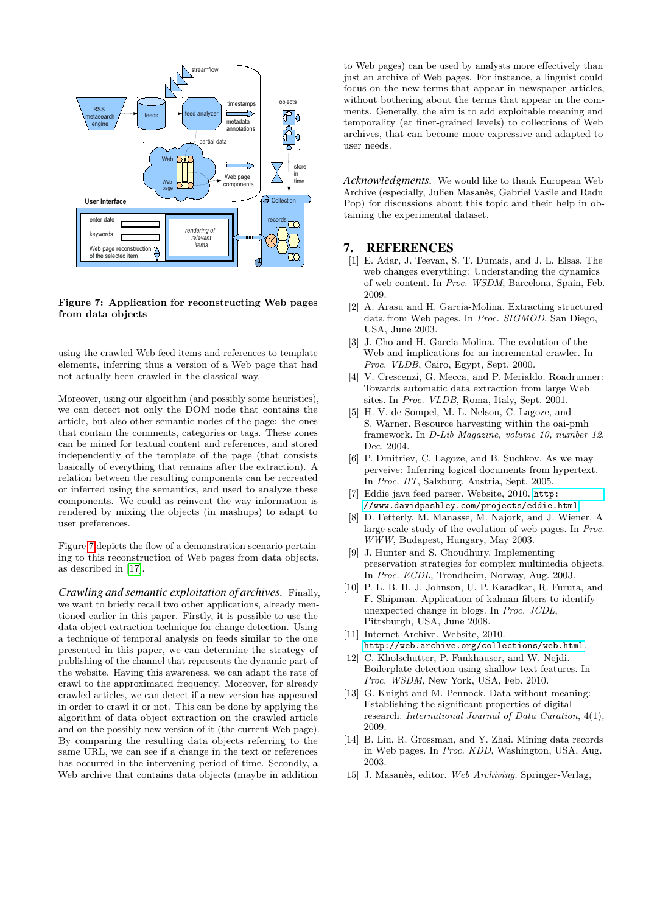

<span id="page-10-15"></span>**Figure 7: Application for reconstructing Web pages from data objects**

using the crawled Web feed items and references to template elements, inferring thus a version of a Web page that had not actually been crawled in the classical way.

Moreover, using our algorithm (and possibly some heuristics), we can detect not only the DOM node that contains the article, but also other semantic nodes of the page: the ones that contain the comments, categories or tags. These zones can be mined for textual content and references, and stored independently of the template of the page (that consists basically of everything that remains after the extraction). A relation between the resulting components can be recreated or inferred using the semantics, and used to analyze these components. We could as reinvent the way information is rendered by mixing the objects (in mashups) to adapt to user preferences.

Figure [7](#page-10-15) depicts the flow of a demonstration scenario pertaining to this reconstruction of Web pages from data objects, as described in [\[17\]](#page-11-13).

*Crawling and semantic exploitation of archives.* Finally, we want to briefly recall two other applications, already mentioned earlier in this paper. Firstly, it is possible to use the data object extraction technique for change detection. Using a technique of temporal analysis on feeds similar to the one presented in this paper, we can determine the strategy of publishing of the channel that represents the dynamic part of the website. Having this awareness, we can adapt the rate of crawl to the approximated frequency. Moreover, for already crawled articles, we can detect if a new version has appeared in order to crawl it or not. This can be done by applying the algorithm of data object extraction on the crawled article and on the possibly new version of it (the current Web page). By comparing the resulting data objects referring to the same URL, we can see if a change in the text or references has occurred in the intervening period of time. Secondly, a Web archive that contains data objects (maybe in addition

to Web pages) can be used by analysts more effectively than just an archive of Web pages. For instance, a linguist could focus on the new terms that appear in newspaper articles, without bothering about the terms that appear in the comments. Generally, the aim is to add exploitable meaning and temporality (at finer-grained levels) to collections of Web archives, that can become more expressive and adapted to user needs.

*Acknowledgments.* We would like to thank European Web Archive (especially, Julien Masanès, Gabriel Vasile and Radu Pop) for discussions about this topic and their help in obtaining the experimental dataset.

#### 7. REFERENCES

- <span id="page-10-7"></span>[1] E. Adar, J. Teevan, S. T. Dumais, and J. L. Elsas. The web changes everything: Understanding the dynamics of web content. In *Proc. WSDM*, Barcelona, Spain, Feb. 2009.
- <span id="page-10-11"></span>[2] A. Arasu and H. Garcia-Molina. Extracting structured data from Web pages. In *Proc. SIGMOD*, San Diego, USA, June 2003.
- <span id="page-10-9"></span>[3] J. Cho and H. Garcia-Molina. The evolution of the Web and implications for an incremental crawler. In *Proc. VLDB*, Cairo, Egypt, Sept. 2000.
- <span id="page-10-12"></span>[4] V. Crescenzi, G. Mecca, and P. Merialdo. Roadrunner: Towards automatic data extraction from large Web sites. In *Proc. VLDB*, Roma, Italy, Sept. 2001.
- <span id="page-10-3"></span>[5] H. V. de Sompel, M. L. Nelson, C. Lagoze, and S. Warner. Resource harvesting within the oai-pmh framework. In *D-Lib Magazine, volume 10, number 12*, Dec. 2004.
- <span id="page-10-4"></span>[6] P. Dmitriev, C. Lagoze, and B. Suchkov. As we may perveive: Inferring logical documents from hypertext. In *Proc. HT*, Salzburg, Austria, Sept. 2005.
- <span id="page-10-13"></span>[7] Eddie java feed parser. Website, 2010. [http:](http://www.davidpashley.com/projects/eddie.html) [//www.davidpashley.com/projects/eddie.html](http://www.davidpashley.com/projects/eddie.html).
- <span id="page-10-6"></span>[8] D. Fetterly, M. Manasse, M. Najork, and J. Wiener. A large-scale study of the evolution of web pages. In *Proc. WWW*, Budapest, Hungary, May 2003.
- <span id="page-10-14"></span>[9] J. Hunter and S. Choudhury. Implementing preservation strategies for complex multimedia objects. In *Proc. ECDL*, Trondheim, Norway, Aug. 2003.
- <span id="page-10-8"></span>[10] P. L. B. II, J. Johnson, U. P. Karadkar, R. Furuta, and F. Shipman. Application of kalman filters to identify unexpected change in blogs. In *Proc. JCDL*, Pittsburgh, USA, June 2008.
- <span id="page-10-5"></span>[11] Internet Archive. Website, 2010. <http://web.archive.org/collections/web.html>.
- <span id="page-10-1"></span>[12] C. Kholschutter, P. Fankhauser, and W. Neidi. Boilerplate detection using shallow text features. In *Proc. WSDM*, New York, USA, Feb. 2010.
- <span id="page-10-2"></span>[13] G. Knight and M. Pennock. Data without meaning: Establishing the significant properties of digital research. *International Journal of Data Curation*, 4(1), 2009.
- <span id="page-10-10"></span>[14] B. Liu, R. Grossman, and Y. Zhai. Mining data records in Web pages. In *Proc. KDD*, Washington, USA, Aug. 2003.
- <span id="page-10-0"></span>[15] J. Masanès, editor. *Web Archiving*. Springer-Verlag,